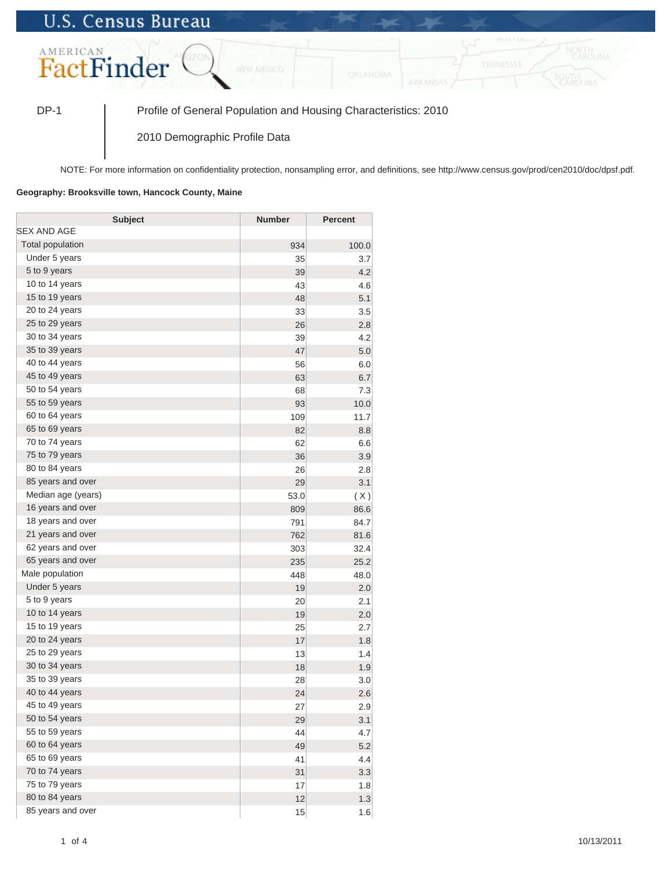## **U.S. Census Bureau**



DP-1 Profile of General Population and Housing Characteristics: 2010

2010 Demographic Profile Data

NOTE: For more information on confidentiality protection, nonsampling error, and definitions, see http://www.census.gov/prod/cen2010/doc/dpsf.pdf.

## **Geography: Brooksville town, Hancock County, Maine**

| <b>Subject</b>     | <b>Number</b> | Percent |
|--------------------|---------------|---------|
| SEX AND AGE        |               |         |
| Total population   | 934           | 100.0   |
| Under 5 years      | 35            | 3.7     |
| 5 to 9 years       | 39            | 4.2     |
| 10 to 14 years     | 43            | 4.6     |
| 15 to 19 years     | 48            | 5.1     |
| 20 to 24 years     | 33            | 3.5     |
| 25 to 29 years     | 26            | 2.8     |
| 30 to 34 years     | 39            | 4.2     |
| 35 to 39 years     | 47            | 5.0     |
| 40 to 44 years     | 56            | 6.0     |
| 45 to 49 years     | 63            | 6.7     |
| 50 to 54 years     | 68            | 7.3     |
| 55 to 59 years     | 93            | 10.0    |
| 60 to 64 years     | 109           | 11.7    |
| 65 to 69 years     | 82            | 8.8     |
| 70 to 74 years     | 62            | 6.6     |
| 75 to 79 years     | 36            | 3.9     |
| 80 to 84 years     | 26            | 2.8     |
| 85 years and over  | 29            | 3.1     |
| Median age (years) | 53.0          | (X)     |
| 16 years and over  | 809           | 86.6    |
| 18 years and over  | 791           | 84.7    |
| 21 years and over  | 762           | 81.6    |
| 62 years and over  | 303           | 32.4    |
| 65 years and over  | 235           | 25.2    |
| Male population    | 448           | 48.0    |
| Under 5 years      | 19            | 2.0     |
| 5 to 9 years       | 20            | 2.1     |
| 10 to 14 years     | 19            | 2.0     |
| 15 to 19 years     | 25            | 2.7     |
| 20 to 24 years     | 17            | 1.8     |
| 25 to 29 years     | 13            | 1.4     |
| 30 to 34 years     | 18            | 1.9     |
| 35 to 39 years     | 28            | 3.0     |
| 40 to 44 years     | 24            | 2.6     |
| 45 to 49 years     | 27            | 2.9     |
| 50 to 54 years     | 29            | 3.1     |
| 55 to 59 years     | 44            | 4.7     |
| 60 to 64 years     | 49            | 5.2     |
| 65 to 69 years     | 41            | 4.4     |
| 70 to 74 years     | 31            | 3.3     |
| 75 to 79 years     | 17            | 1.8     |
| 80 to 84 years     | 12            | 1.3     |
| 85 years and over  | 15            | 1.6     |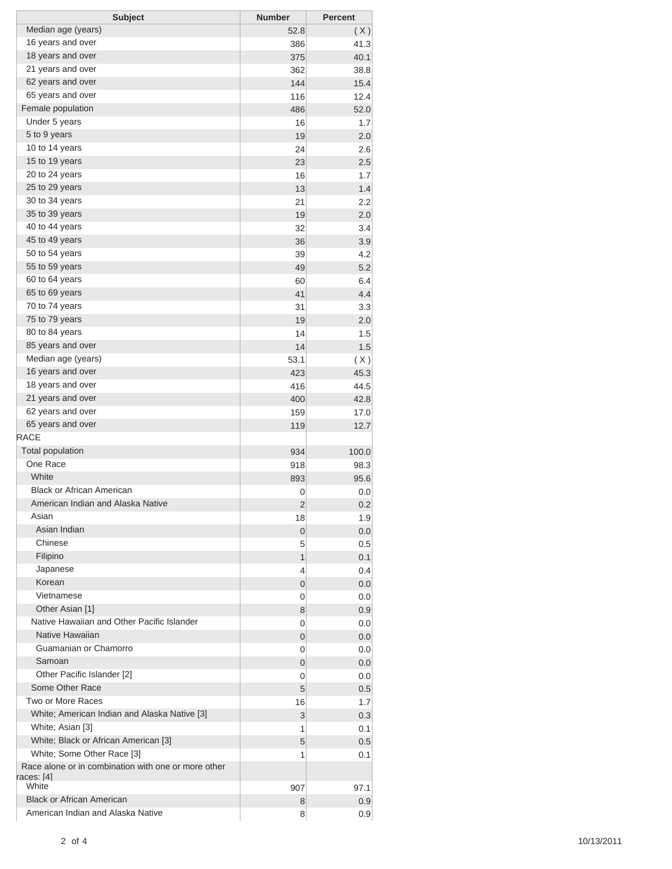| <b>Subject</b>                                      | <b>Number</b> | <b>Percent</b> |
|-----------------------------------------------------|---------------|----------------|
| Median age (years)                                  | 52.8          | (X)            |
| 16 years and over                                   | 386           | 41.3           |
| 18 years and over                                   | 375           | 40.1           |
| 21 years and over                                   | 362           | 38.8           |
| 62 years and over                                   | 144           | 15.4           |
| 65 years and over                                   | 116           | 12.4           |
| Female population                                   | 486           | 52.0           |
| Under 5 years                                       | 16            | 1.7            |
| 5 to 9 years                                        | 19            | 2.0            |
| 10 to 14 years                                      | 24            | 2.6            |
| 15 to 19 years                                      | 23            | 2.5            |
| 20 to 24 years                                      | 16            | 1.7            |
| 25 to 29 years                                      | 13            | 1.4            |
| 30 to 34 years                                      | 21            | 2.2            |
| 35 to 39 years                                      | 19            | 2.0            |
| 40 to 44 years                                      | 32            | 3.4            |
| 45 to 49 years                                      | 36            | 3.9            |
| 50 to 54 years                                      | 39            | 4.2            |
| 55 to 59 years                                      | 49            | 5.2            |
| 60 to 64 years                                      | 60            | 6.4            |
| 65 to 69 years                                      | 41            | 4.4            |
| 70 to 74 years                                      | 31            | 3.3            |
| 75 to 79 years                                      | 19            | 2.0            |
| 80 to 84 years                                      | 14            | 1.5            |
| 85 years and over                                   | 14            | 1.5            |
| Median age (years)                                  | 53.1          | (X)            |
| 16 years and over                                   | 423           | 45.3           |
| 18 years and over                                   | 416           | 44.5           |
| 21 years and over                                   | 400           | 42.8           |
| 62 years and over                                   | 159           | 17.0           |
| 65 years and over                                   | 119           | 12.7           |
| <b>RACE</b>                                         |               |                |
| <b>Total population</b>                             | 934           | 100.0          |
| One Race                                            | 918           | 98.3           |
| White                                               | 893           | 95.6           |
| <b>Black or African American</b>                    | 0             | 0.0            |
| American Indian and Alaska Native                   | 2             | 0.2            |
| Asian                                               | 18            | 1.9            |
| Asian Indian                                        | 0             | 0.0            |
| Chinese                                             | 5             | 0.5            |
| Filipino                                            | 1             | 0.1            |
| Japanese                                            | 4             | 0.4            |
| Korean                                              | 0             | 0.0            |
| Vietnamese                                          | 0             | 0.0            |
| Other Asian [1]                                     | 8             | 0.9            |
| Native Hawaiian and Other Pacific Islander          | 0             | 0.0            |
| Native Hawaiian                                     | 0             | 0.0            |
| Guamanian or Chamorro                               | 0             | 0.0            |
| Samoan                                              | 0             | 0.0            |
| Other Pacific Islander [2]                          | 0             | 0.0            |
| Some Other Race                                     | 5             | 0.5            |
| Two or More Races                                   | 16            | 1.7            |
| White; American Indian and Alaska Native [3]        | 3             | 0.3            |
| White; Asian [3]                                    | 1             | 0.1            |
| White; Black or African American [3]                | 5             | 0.5            |
| White; Some Other Race [3]                          | 1             | 0.1            |
| Race alone or in combination with one or more other |               |                |
| races: [4]                                          |               |                |
| White                                               | 907           | 97.1           |
| <b>Black or African American</b>                    | 8             | 0.9            |
| American Indian and Alaska Native                   | 8             | 0.9            |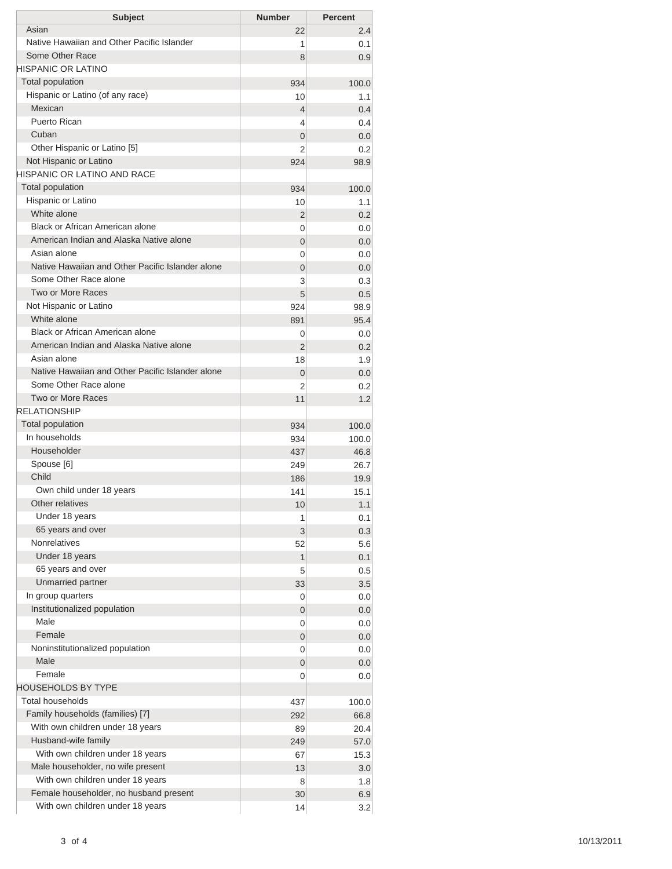| <b>Subject</b>                                        | <b>Number</b> | <b>Percent</b> |
|-------------------------------------------------------|---------------|----------------|
| Asian                                                 | 22            | 2.4            |
| Native Hawaiian and Other Pacific Islander            | 1             | 0.1            |
| Some Other Race                                       | 8             | 0.9            |
| HISPANIC OR LATINO                                    |               |                |
| <b>Total population</b>                               | 934           | 100.0          |
| Hispanic or Latino (of any race)                      | 10            | 1.1            |
| Mexican                                               | 4             | 0.4            |
| <b>Puerto Rican</b>                                   | 4             | 0.4            |
| Cuban                                                 | 0             | 0.0            |
| Other Hispanic or Latino [5]                          | 2             | 0.2            |
| Not Hispanic or Latino<br>HISPANIC OR LATINO AND RACE | 924           | 98.9           |
| <b>Total population</b>                               |               |                |
| Hispanic or Latino                                    | 934           | 100.0          |
| White alone                                           | 10            | 1.1            |
| Black or African American alone                       | 2<br>0        | 0.2<br>0.0     |
| American Indian and Alaska Native alone               | 0             | 0.0            |
| Asian alone                                           | 0             | 0.0            |
| Native Hawaiian and Other Pacific Islander alone      | 0             | 0.0            |
| Some Other Race alone                                 | 3             | 0.3            |
| Two or More Races                                     | 5             | 0.5            |
| Not Hispanic or Latino                                | 924           | 98.9           |
| White alone                                           | 891           | 95.4           |
| <b>Black or African American alone</b>                | 0             | 0.0            |
| American Indian and Alaska Native alone               | 2             | 0.2            |
| Asian alone                                           | 18            | 1.9            |
| Native Hawaiian and Other Pacific Islander alone      | 0             | 0.0            |
| Some Other Race alone                                 | 2             | 0.2            |
| <b>Two or More Races</b>                              | 11            | 1.2            |
| <b>RELATIONSHIP</b>                                   |               |                |
| Total population                                      | 934           | 100.0          |
| In households                                         | 934           | 100.0          |
| Householder                                           | 437           | 46.8           |
| Spouse [6]                                            | 249           | 26.7           |
| Child                                                 | 186           | 19.9           |
| Own child under 18 years                              | 141           | 15.1           |
| Other relatives                                       | 10            | 1.1            |
| Under 18 years                                        | 1             | 0.1            |
| 65 years and over                                     | 3             | 0.3            |
| <b>Nonrelatives</b>                                   | 52            | 5.6            |
| Under 18 years                                        | 1             | 0.1            |
| 65 years and over                                     | 5             | 0.5            |
| Unmarried partner                                     | 33            | 3.5            |
| In group quarters                                     | 0             | 0.0            |
| Institutionalized population<br>Male                  | 0             | 0.0            |
| Female                                                | 0             | 0.0            |
| Noninstitutionalized population                       | 0             | 0.0            |
| Male                                                  | 0<br>0        | 0.0<br>0.0     |
| Female                                                | 0             | 0.0            |
| HOUSEHOLDS BY TYPE                                    |               |                |
| <b>Total households</b>                               | 437           | 100.0          |
| Family households (families) [7]                      | 292           | 66.8           |
| With own children under 18 years                      | 89            | 20.4           |
| Husband-wife family                                   | 249           | 57.0           |
| With own children under 18 years                      | 67            | 15.3           |
| Male householder, no wife present                     | 13            | 3.0            |
| With own children under 18 years                      | 8             | 1.8            |
| Female householder, no husband present                | 30            | 6.9            |
| With own children under 18 years                      | 14            | 3.2            |